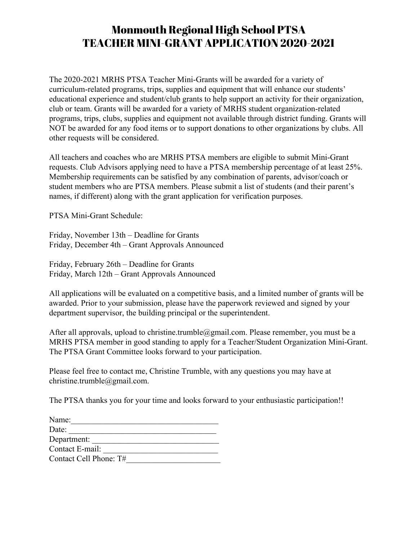## Monmouth Regional High School PTSA TEACHER MINI-GRANT APPLICATION 2020-2021

The 2020-2021 MRHS PTSA Teacher Mini-Grants will be awarded for a variety of curriculum-related programs, trips, supplies and equipment that will enhance our students' educational experience and student/club grants to help support an activity for their organization, club or team. Grants will be awarded for a variety of MRHS student organization-related programs, trips, clubs, supplies and equipment not available through district funding. Grants will NOT be awarded for any food items or to support donations to other organizations by clubs. All other requests will be considered.

All teachers and coaches who are MRHS PTSA members are eligible to submit Mini-Grant requests. Club Advisors applying need to have a PTSA membership percentage of at least 25%. Membership requirements can be satisfied by any combination of parents, advisor/coach or student members who are PTSA members. Please submit a list of students (and their parent's names, if different) along with the grant application for verification purposes.

PTSA Mini-Grant Schedule:

Friday, November 13th – Deadline for Grants Friday, December 4th – Grant Approvals Announced

Friday, February 26th – Deadline for Grants Friday, March 12th – Grant Approvals Announced

All applications will be evaluated on a competitive basis, and a limited number of grants will be awarded. Prior to your submission, please have the paperwork reviewed and signed by your department supervisor, the building principal or the superintendent.

After all approvals, upload to christine.trumble@gmail.com. Please remember, you must be a MRHS PTSA member in good standing to apply for a Teacher/Student Organization Mini-Grant. The PTSA Grant Committee looks forward to your participation.

Please feel free to contact me, Christine Trumble, with any questions you may have at christine.trumble@gmail.com.

The PTSA thanks you for your time and looks forward to your enthusiastic participation!!

| Name:                  |
|------------------------|
| Date:                  |
| Department:            |
| Contact E-mail:        |
| Contact Cell Phone: T# |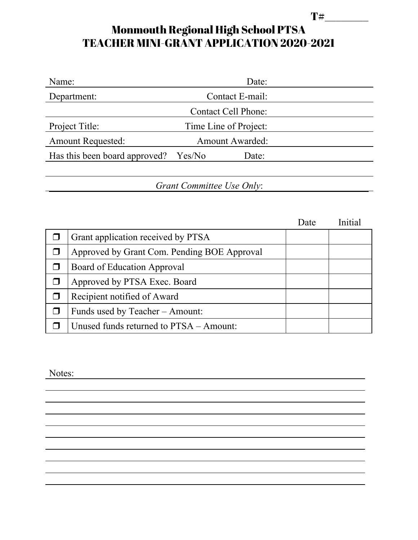## $T#$ Monmouth Regional High School PTSA TEACHER MINI-GRANT APPLICATION 2020-2021

| Name:                         | Date:                  |                            |  |  |  |
|-------------------------------|------------------------|----------------------------|--|--|--|
| Department:                   | Contact E-mail:        |                            |  |  |  |
|                               |                        | <b>Contact Cell Phone:</b> |  |  |  |
| Project Title:                |                        | Time Line of Project:      |  |  |  |
| <b>Amount Requested:</b>      | <b>Amount Awarded:</b> |                            |  |  |  |
| Has this been board approved? | Yes/No                 | Date:                      |  |  |  |
|                               |                        |                            |  |  |  |
| Grant Committee Use Only:     |                        |                            |  |  |  |

Date Initial  $\Box$  Grant application received by PTSA ❒ Approved by Grant Com. Pending BOE Approval ❒ Board of Education Approval ❒ Approved by PTSA Exec. Board ❒ Recipient notified of Award  $\Box$  Funds used by Teacher – Amount:  $\Box$  Unused funds returned to PTSA – Amount:

Notes: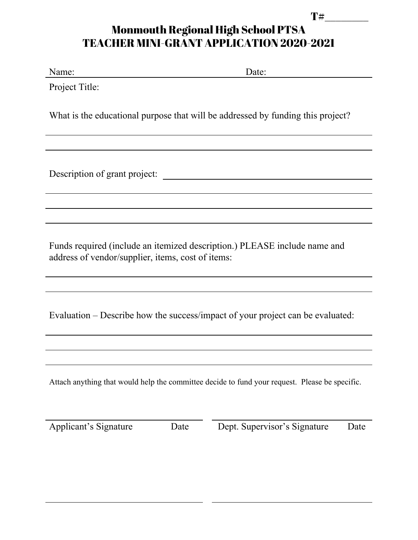## $T#$ Monmouth Regional High School PTSA TEACHER MINI-GRANT APPLICATION 2020-2021

| Name: |  |
|-------|--|
|       |  |

Name: Date:

Project Title:

What is the educational purpose that will be addressed by funding this project?

Description of grant project:

Funds required (include an itemized description.) PLEASE include name and address of vendor/supplier, items, cost of items:

Evaluation – Describe how the success/impact of your project can be evaluated:

Attach anything that would help the committee decide to fund your request. Please be specific.

and the control of the control of the control of the control of the control of the control of the control of the

Applicant's Signature Date Dept. Supervisor's Signature Date